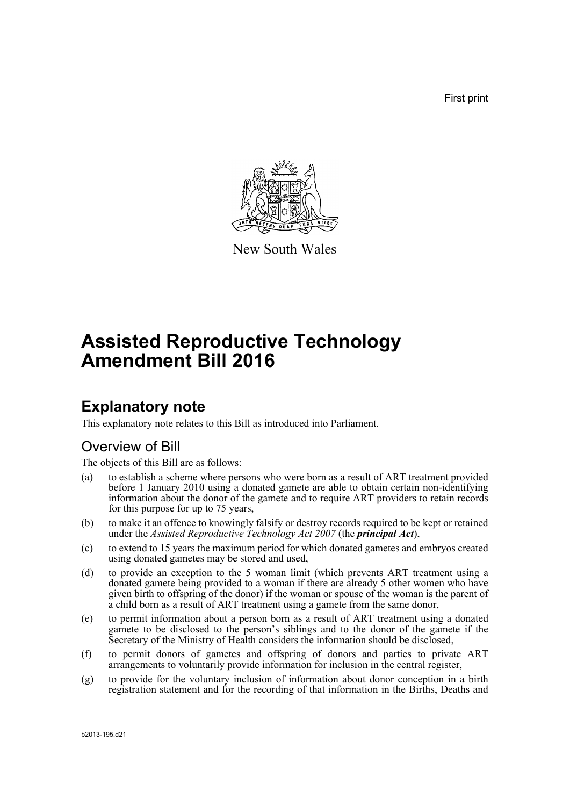First print



New South Wales

# **Assisted Reproductive Technology Amendment Bill 2016**

# **Explanatory note**

This explanatory note relates to this Bill as introduced into Parliament.

# Overview of Bill

The objects of this Bill are as follows:

- (a) to establish a scheme where persons who were born as a result of ART treatment provided before 1 January 2010 using a donated gamete are able to obtain certain non-identifying information about the donor of the gamete and to require ART providers to retain records for this purpose for up to 75 years,
- (b) to make it an offence to knowingly falsify or destroy records required to be kept or retained under the *Assisted Reproductive Technology Act 2007* (the *principal Act*),
- (c) to extend to 15 years the maximum period for which donated gametes and embryos created using donated gametes may be stored and used,
- (d) to provide an exception to the 5 woman limit (which prevents ART treatment using a donated gamete being provided to a woman if there are already 5 other women who have given birth to offspring of the donor) if the woman or spouse of the woman is the parent of a child born as a result of ART treatment using a gamete from the same donor,
- (e) to permit information about a person born as a result of ART treatment using a donated gamete to be disclosed to the person's siblings and to the donor of the gamete if the Secretary of the Ministry of Health considers the information should be disclosed,
- (f) to permit donors of gametes and offspring of donors and parties to private ART arrangements to voluntarily provide information for inclusion in the central register,
- (g) to provide for the voluntary inclusion of information about donor conception in a birth registration statement and for the recording of that information in the Births, Deaths and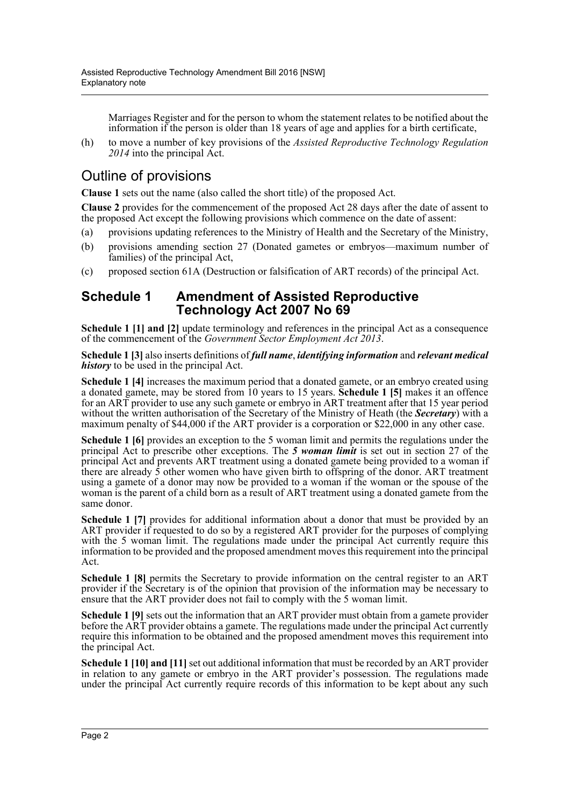Marriages Register and for the person to whom the statement relates to be notified about the information if the person is older than 18 years of age and applies for a birth certificate,

(h) to move a number of key provisions of the *Assisted Reproductive Technology Regulation 2014* into the principal Act.

# Outline of provisions

**Clause 1** sets out the name (also called the short title) of the proposed Act.

**Clause 2** provides for the commencement of the proposed Act 28 days after the date of assent to the proposed Act except the following provisions which commence on the date of assent:

- (a) provisions updating references to the Ministry of Health and the Secretary of the Ministry,
- (b) provisions amending section 27 (Donated gametes or embryos—maximum number of families) of the principal Act,
- (c) proposed section 61A (Destruction or falsification of ART records) of the principal Act.

# **Schedule 1 Amendment of Assisted Reproductive Technology Act 2007 No 69**

**Schedule 1 [1] and [2]** update terminology and references in the principal Act as a consequence of the commencement of the *Government Sector Employment Act 2013*.

**Schedule 1 [3]** also inserts definitions of *full name*, *identifying information* and *relevant medical history* to be used in the principal Act.

**Schedule 1 [4]** increases the maximum period that a donated gamete, or an embryo created using a donated gamete, may be stored from 10 years to 15 years. **Schedule 1 [5]** makes it an offence for an ART provider to use any such gamete or embryo in ART treatment after that 15 year period without the written authorisation of the Secretary of the Ministry of Heath (the *Secretary*) with a maximum penalty of \$44,000 if the ART provider is a corporation or \$22,000 in any other case.

**Schedule 1 [6]** provides an exception to the 5 woman limit and permits the regulations under the principal Act to prescribe other exceptions. The *5 woman limit* is set out in section 27 of the principal Act and prevents ART treatment using a donated gamete being provided to a woman if there are already  $\zeta$  other women who have given birth to offspring of the donor. ART treatment using a gamete of a donor may now be provided to a woman if the woman or the spouse of the woman is the parent of a child born as a result of ART treatment using a donated gamete from the same donor.

**Schedule 1 [7]** provides for additional information about a donor that must be provided by an ART provider if requested to do so by a registered ART provider for the purposes of complying with the 5 woman limit. The regulations made under the principal Act currently require this information to be provided and the proposed amendment moves this requirement into the principal Act.

**Schedule 1 [8]** permits the Secretary to provide information on the central register to an ART provider if the Secretary is of the opinion that provision of the information may be necessary to ensure that the ART provider does not fail to comply with the 5 woman limit.

**Schedule 1 [9]** sets out the information that an ART provider must obtain from a gamete provider before the ART provider obtains a gamete. The regulations made under the principal Act currently require this information to be obtained and the proposed amendment moves this requirement into the principal Act.

**Schedule 1 [10] and [11]** set out additional information that must be recorded by an ART provider in relation to any gamete or embryo in the ART provider's possession. The regulations made under the principal Act currently require records of this information to be kept about any such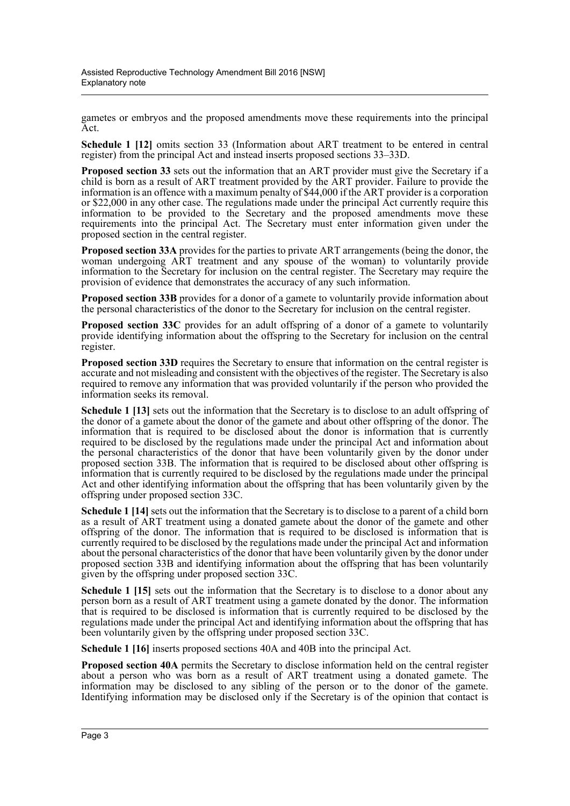gametes or embryos and the proposed amendments move these requirements into the principal Act.

**Schedule 1 [12]** omits section 33 (Information about ART treatment to be entered in central register) from the principal Act and instead inserts proposed sections 33–33D.

**Proposed section 33** sets out the information that an ART provider must give the Secretary if a child is born as a result of ART treatment provided by the ART provider. Failure to provide the information is an offence with a maximum penalty of \$44,000 if the ART provider is a corporation or \$22,000 in any other case. The regulations made under the principal Act currently require this information to be provided to the Secretary and the proposed amendments move these requirements into the principal Act. The Secretary must enter information given under the proposed section in the central register.

**Proposed section 33A** provides for the parties to private ART arrangements (being the donor, the woman undergoing ART treatment and any spouse of the woman) to voluntarily provide information to the Secretary for inclusion on the central register. The Secretary may require the provision of evidence that demonstrates the accuracy of any such information.

**Proposed section 33B** provides for a donor of a gamete to voluntarily provide information about the personal characteristics of the donor to the Secretary for inclusion on the central register.

**Proposed section 33C** provides for an adult offspring of a donor of a gamete to voluntarily provide identifying information about the offspring to the Secretary for inclusion on the central register.

**Proposed section 33D** requires the Secretary to ensure that information on the central register is accurate and not misleading and consistent with the objectives of the register. The Secretary is also required to remove any information that was provided voluntarily if the person who provided the information seeks its removal.

**Schedule 1 [13]** sets out the information that the Secretary is to disclose to an adult offspring of the donor of a gamete about the donor of the gamete and about other offspring of the donor. The information that is required to be disclosed about the donor is information that is currently required to be disclosed by the regulations made under the principal Act and information about the personal characteristics of the donor that have been voluntarily given by the donor under proposed section 33B. The information that is required to be disclosed about other offspring is information that is currently required to be disclosed by the regulations made under the principal Act and other identifying information about the offspring that has been voluntarily given by the offspring under proposed section 33C.

**Schedule 1 [14]** sets out the information that the Secretary is to disclose to a parent of a child born as a result of ART treatment using a donated gamete about the donor of the gamete and other offspring of the donor. The information that is required to be disclosed is information that is currently required to be disclosed by the regulations made under the principal Act and information about the personal characteristics of the donor that have been voluntarily given by the donor under proposed section 33B and identifying information about the offspring that has been voluntarily given by the offspring under proposed section 33C.

**Schedule 1 [15]** sets out the information that the Secretary is to disclose to a donor about any person born as a result of ART treatment using a gamete donated by the donor. The information that is required to be disclosed is information that is currently required to be disclosed by the regulations made under the principal Act and identifying information about the offspring that has been voluntarily given by the offspring under proposed section 33C.

**Schedule 1 [16]** inserts proposed sections 40A and 40B into the principal Act.

**Proposed section 40A** permits the Secretary to disclose information held on the central register about a person who was born as a result of ART treatment using a donated gamete. The information may be disclosed to any sibling of the person or to the donor of the gamete. Identifying information may be disclosed only if the Secretary is of the opinion that contact is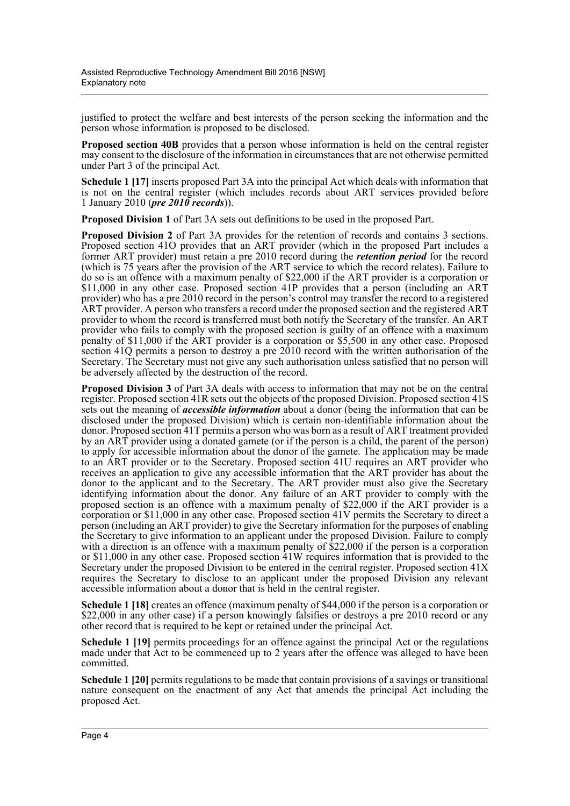justified to protect the welfare and best interests of the person seeking the information and the person whose information is proposed to be disclosed.

**Proposed section 40B** provides that a person whose information is held on the central register may consent to the disclosure of the information in circumstances that are not otherwise permitted under Part 3 of the principal Act.

**Schedule 1 [17]** inserts proposed Part 3A into the principal Act which deals with information that is not on the central register (which includes records about ART services provided before 1 January 2010 (*pre 2010 records*)).

**Proposed Division 1** of Part 3A sets out definitions to be used in the proposed Part.

**Proposed Division 2** of Part 3A provides for the retention of records and contains 3 sections. Proposed section 41O provides that an ART provider (which in the proposed Part includes a former ART provider) must retain a pre 2010 record during the *retention period* for the record (which is 75 years after the provision of the ART service to which the record relates). Failure to do so is an offence with a maximum penalty of \$22,000 if the ART provider is a corporation or \$11,000 in any other case. Proposed section 41P provides that a person (including an ART provider) who has a pre 2010 record in the person's control may transfer the record to a registered ART provider. A person who transfers a record under the proposed section and the registered ART provider to whom the record is transferred must both notify the Secretary of the transfer. An ART provider who fails to comply with the proposed section is guilty of an offence with a maximum penalty of \$11,000 if the ART provider is a corporation or \$5,500 in any other case. Proposed section 41Q permits a person to destroy a pre 2010 record with the written authorisation of the Secretary. The Secretary must not give any such authorisation unless satisfied that no person will be adversely affected by the destruction of the record.

**Proposed Division 3** of Part 3A deals with access to information that may not be on the central register. Proposed section 41R sets out the objects of the proposed Division. Proposed section 41S sets out the meaning of *accessible information* about a donor (being the information that can be disclosed under the proposed Division) which is certain non-identifiable information about the donor. Proposed section 41T permits a person who was born as a result of ART treatment provided by an ART provider using a donated gamete (or if the person is a child, the parent of the person) to apply for accessible information about the donor of the gamete. The application may be made to an ART provider or to the Secretary. Proposed section 41U requires an ART provider who receives an application to give any accessible information that the ART provider has about the donor to the applicant and to the Secretary. The ART provider must also give the Secretary identifying information about the donor. Any failure of an ART provider to comply with the proposed section is an offence with a maximum penalty of \$22,000 if the ART provider is a corporation or \$11,000 in any other case. Proposed section 41V permits the Secretary to direct a person (including an ART provider) to give the Secretary information for the purposes of enabling the Secretary to give information to an applicant under the proposed Division. Failure to comply with a direction is an offence with a maximum penalty of \$22,000 if the person is a corporation or \$11,000 in any other case. Proposed section 41W requires information that is provided to the Secretary under the proposed Division to be entered in the central register. Proposed section 41X requires the Secretary to disclose to an applicant under the proposed Division any relevant accessible information about a donor that is held in the central register.

**Schedule 1 [18]** creates an offence (maximum penalty of \$44,000 if the person is a corporation or \$22,000 in any other case) if a person knowingly falsifies or destroys a pre 2010 record or any other record that is required to be kept or retained under the principal Act.

**Schedule 1 [19]** permits proceedings for an offence against the principal Act or the regulations made under that Act to be commenced up to 2 years after the offence was alleged to have been committed.

**Schedule 1 [20]** permits regulations to be made that contain provisions of a savings or transitional nature consequent on the enactment of any Act that amends the principal Act including the proposed Act.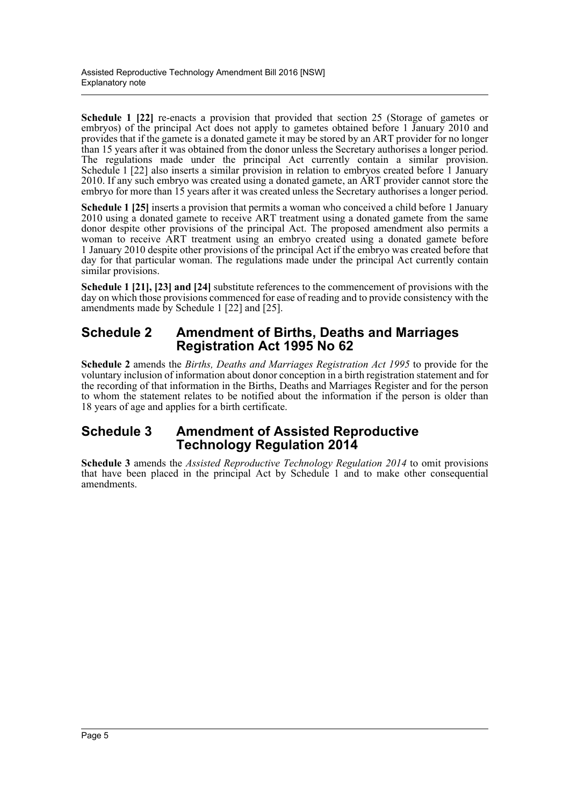**Schedule 1 [22]** re-enacts a provision that provided that section 25 (Storage of gametes or embryos) of the principal Act does not apply to gametes obtained before 1 January 2010 and provides that if the gamete is a donated gamete it may be stored by an ART provider for no longer than 15 years after it was obtained from the donor unless the Secretary authorises a longer period. The regulations made under the principal Act currently contain a similar provision. Schedule 1 [22] also inserts a similar provision in relation to embryos created before 1 January 2010. If any such embryo was created using a donated gamete, an ART provider cannot store the embryo for more than 15 years after it was created unless the Secretary authorises a longer period.

**Schedule 1 [25]** inserts a provision that permits a woman who conceived a child before 1 January 2010 using a donated gamete to receive ART treatment using a donated gamete from the same donor despite other provisions of the principal Act. The proposed amendment also permits a woman to receive ART treatment using an embryo created using a donated gamete before 1 January 2010 despite other provisions of the principal Act if the embryo was created before that day for that particular woman. The regulations made under the principal Act currently contain similar provisions.

**Schedule 1 [21], [23] and [24]** substitute references to the commencement of provisions with the day on which those provisions commenced for ease of reading and to provide consistency with the amendments made by Schedule 1 [22] and [25].

# **Schedule 2 Amendment of Births, Deaths and Marriages Registration Act 1995 No 62**

**Schedule 2** amends the *Births, Deaths and Marriages Registration Act 1995* to provide for the voluntary inclusion of information about donor conception in a birth registration statement and for the recording of that information in the Births, Deaths and Marriages Register and for the person to whom the statement relates to be notified about the information if the person is older than 18 years of age and applies for a birth certificate.

# **Schedule 3 Amendment of Assisted Reproductive Technology Regulation 2014**

**Schedule 3** amends the *Assisted Reproductive Technology Regulation 2014* to omit provisions that have been placed in the principal Act by Schedule 1 and to make other consequential amendments.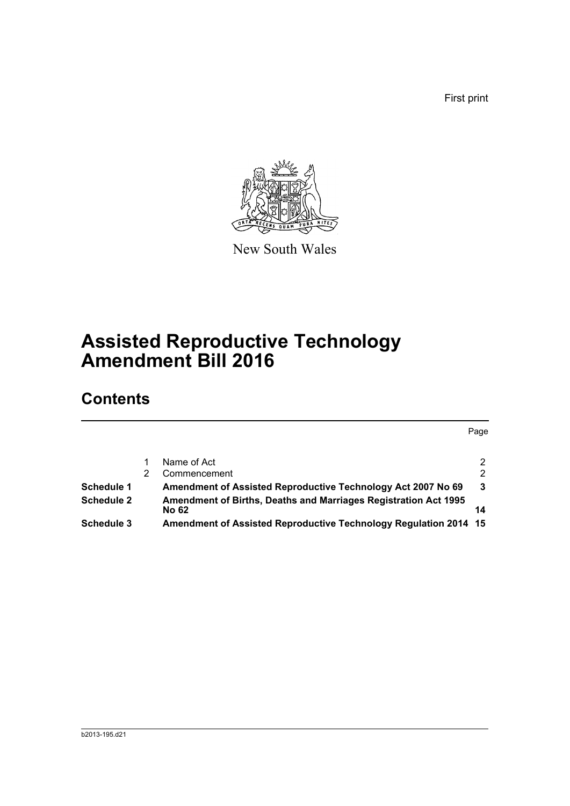First print



New South Wales

# **Assisted Reproductive Technology Amendment Bill 2016**

# **Contents**

Page

|            | Name of Act                                                      | $\mathcal{P}$ |
|------------|------------------------------------------------------------------|---------------|
|            | Commencement                                                     | $\mathcal{P}$ |
| Schedule 1 | Amendment of Assisted Reproductive Technology Act 2007 No 69     | 3             |
| Schedule 2 | Amendment of Births, Deaths and Marriages Registration Act 1995  |               |
|            | <b>No 62</b>                                                     | 14            |
| Schedule 3 | Amendment of Assisted Reproductive Technology Regulation 2014 15 |               |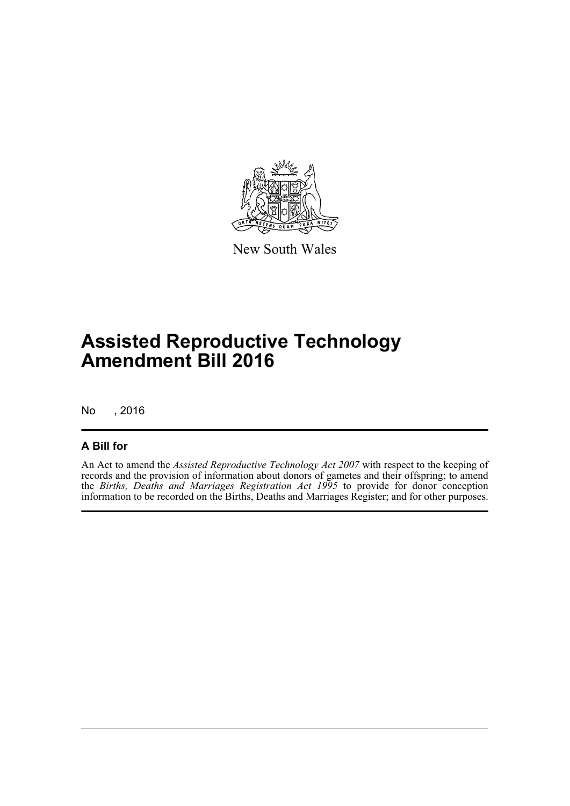

New South Wales

# **Assisted Reproductive Technology Amendment Bill 2016**

No , 2016

### **A Bill for**

An Act to amend the *Assisted Reproductive Technology Act 2007* with respect to the keeping of records and the provision of information about donors of gametes and their offspring; to amend the *Births, Deaths and Marriages Registration Act 1995* to provide for donor conception information to be recorded on the Births, Deaths and Marriages Register; and for other purposes.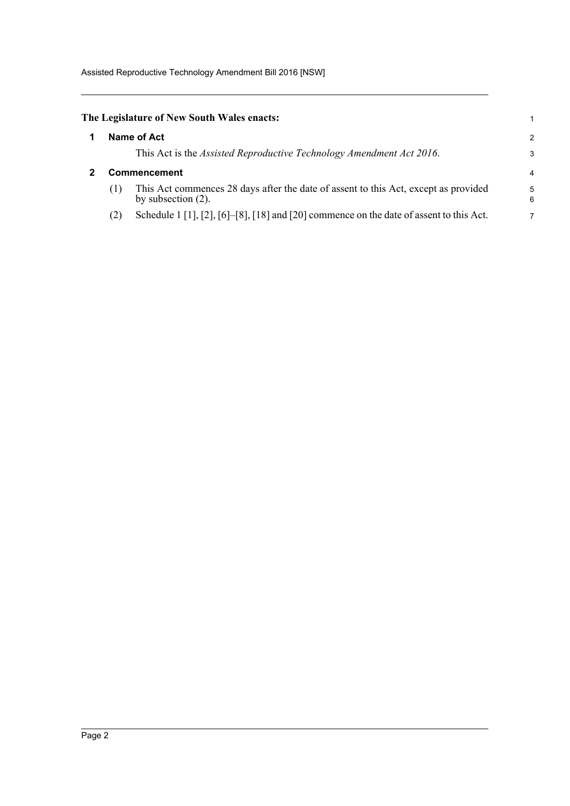<span id="page-7-1"></span><span id="page-7-0"></span>

|                     | The Legislature of New South Wales enacts:                                                                   |        |
|---------------------|--------------------------------------------------------------------------------------------------------------|--------|
|                     | Name of Act                                                                                                  | 2      |
|                     | This Act is the <i>Assisted Reproductive Technology Amendment Act 2016</i> .                                 | 3      |
| <b>Commencement</b> |                                                                                                              |        |
| (1)                 | This Act commences 28 days after the date of assent to this Act, except as provided<br>by subsection $(2)$ . | 5<br>6 |
| (2)                 | Schedule 1 [1], [2], [6]-[8], [18] and [20] commence on the date of assent to this Act.                      | 7      |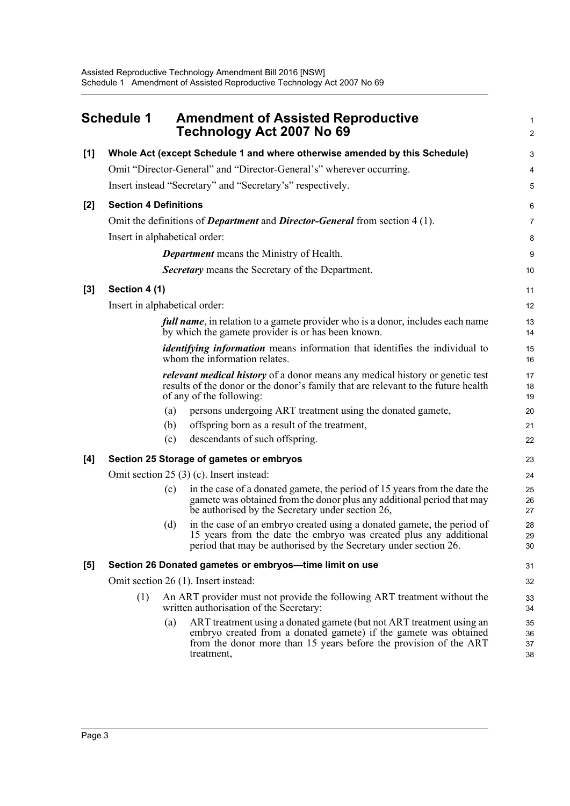<span id="page-8-0"></span>

|       | <b>Schedule 1</b>             |     | <b>Amendment of Assisted Reproductive</b><br>Technology Act 2007 No 69                                                                                                                                                      | $\mathbf{1}$<br>$\overline{2}$ |  |
|-------|-------------------------------|-----|-----------------------------------------------------------------------------------------------------------------------------------------------------------------------------------------------------------------------------|--------------------------------|--|
| $[1]$ |                               |     | Whole Act (except Schedule 1 and where otherwise amended by this Schedule)                                                                                                                                                  | 3                              |  |
|       |                               |     | Omit "Director-General" and "Director-General's" wherever occurring.                                                                                                                                                        | 4                              |  |
|       |                               |     | Insert instead "Secretary" and "Secretary's" respectively.                                                                                                                                                                  | 5                              |  |
| $[2]$ | <b>Section 4 Definitions</b>  |     |                                                                                                                                                                                                                             |                                |  |
|       |                               |     | Omit the definitions of <i>Department</i> and <i>Director-General</i> from section 4 (1).                                                                                                                                   | $\overline{7}$                 |  |
|       | Insert in alphabetical order: |     |                                                                                                                                                                                                                             | 8                              |  |
|       |                               |     | <b>Department</b> means the Ministry of Health.                                                                                                                                                                             | 9                              |  |
|       |                               |     | <b>Secretary</b> means the Secretary of the Department.                                                                                                                                                                     | 10                             |  |
| $[3]$ | Section 4 (1)                 |     |                                                                                                                                                                                                                             | 11                             |  |
|       | Insert in alphabetical order: |     |                                                                                                                                                                                                                             | 12                             |  |
|       |                               |     | <i>full name</i> , in relation to a gamete provider who is a donor, includes each name<br>by which the gamete provider is or has been known.                                                                                | 13<br>14                       |  |
|       |                               |     | <i>identifying information</i> means information that identifies the individual to<br>whom the information relates.                                                                                                         | 15<br>16                       |  |
|       |                               |     | <i>relevant medical history</i> of a donor means any medical history or genetic test<br>results of the donor or the donor's family that are relevant to the future health<br>of any of the following:                       | 17<br>18<br>19                 |  |
|       |                               | (a) | persons undergoing ART treatment using the donated gamete,                                                                                                                                                                  | 20                             |  |
|       |                               | (b) | offspring born as a result of the treatment,                                                                                                                                                                                | 21                             |  |
|       |                               | (c) | descendants of such offspring.                                                                                                                                                                                              | 22                             |  |
| [4]   |                               |     | Section 25 Storage of gametes or embryos                                                                                                                                                                                    | 23                             |  |
|       |                               |     | Omit section $25(3)$ (c). Insert instead:                                                                                                                                                                                   | 24                             |  |
|       |                               | (c) | in the case of a donated gamete, the period of 15 years from the date the<br>gamete was obtained from the donor plus any additional period that may<br>be authorised by the Secretary under section 26,                     | 25<br>26<br>27                 |  |
|       |                               | (d) | in the case of an embryo created using a donated gamete, the period of<br>15 years from the date the embryo was created plus any additional<br>period that may be authorised by the Secretary under section 26.             | 28<br>29<br>30                 |  |
| [5]   |                               |     | Section 26 Donated gametes or embryos-time limit on use                                                                                                                                                                     | 31                             |  |
|       |                               |     | Omit section 26 (1). Insert instead:                                                                                                                                                                                        | 32                             |  |
|       | (1)                           |     | An ART provider must not provide the following ART treatment without the<br>written authorisation of the Secretary:                                                                                                         | 33<br>34                       |  |
|       |                               | (a) | ART treatment using a donated gamete (but not ART treatment using an<br>embryo created from a donated gamete) if the gamete was obtained<br>from the donor more than 15 years before the provision of the ART<br>treatment, | 35<br>36<br>37<br>38           |  |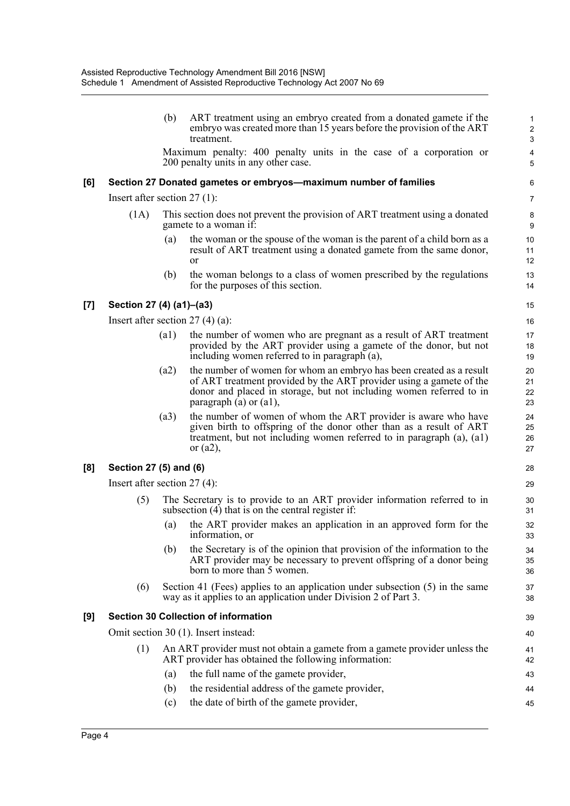|     |                                | (b)  | ART treatment using an embryo created from a donated gamete if the<br>embryo was created more than 15 years before the provision of the ART<br>treatment.                                                                                      | $\mathbf{1}$<br>$\overline{c}$<br>$\mathsf 3$ |
|-----|--------------------------------|------|------------------------------------------------------------------------------------------------------------------------------------------------------------------------------------------------------------------------------------------------|-----------------------------------------------|
|     |                                |      | Maximum penalty: 400 penalty units in the case of a corporation or<br>200 penalty units in any other case.                                                                                                                                     | 4<br>5                                        |
| [6] |                                |      | Section 27 Donated gametes or embryos—maximum number of families                                                                                                                                                                               | 6                                             |
|     | Insert after section $27(1)$ : |      |                                                                                                                                                                                                                                                | 7                                             |
|     | (1A)                           |      | This section does not prevent the provision of ART treatment using a donated<br>gamete to a woman if:                                                                                                                                          | 8<br>9                                        |
|     |                                | (a)  | the woman or the spouse of the woman is the parent of a child born as a<br>result of ART treatment using a donated gamete from the same donor,<br><sub>or</sub>                                                                                | 10<br>11<br>12                                |
|     |                                | (b)  | the woman belongs to a class of women prescribed by the regulations<br>for the purposes of this section.                                                                                                                                       | 13<br>14                                      |
| [7] | Section 27 (4) (a1)-(a3)       |      |                                                                                                                                                                                                                                                | 15                                            |
|     |                                |      | Insert after section $27(4)(a)$ :                                                                                                                                                                                                              | 16                                            |
|     |                                | (a1) | the number of women who are pregnant as a result of ART treatment<br>provided by the ART provider using a gamete of the donor, but not<br>including women referred to in paragraph (a),                                                        | 17<br>18<br>19                                |
|     |                                | (a2) | the number of women for whom an embryo has been created as a result<br>of ART treatment provided by the ART provider using a gamete of the<br>donor and placed in storage, but not including women referred to in<br>paragraph (a) or $(a1)$ , | 20<br>21<br>22<br>23                          |
|     |                                | (a3) | the number of women of whom the ART provider is aware who have<br>given birth to offspring of the donor other than as a result of ART<br>treatment, but not including women referred to in paragraph (a), (a1)<br>or $(a2)$ ,                  | 24<br>25<br>26<br>27                          |
| [8] | Section 27 (5) and (6)         |      |                                                                                                                                                                                                                                                | 28                                            |
|     | Insert after section $27(4)$ : |      |                                                                                                                                                                                                                                                | 29                                            |
|     | (5)                            |      | The Secretary is to provide to an ART provider information referred to in<br>subsection $(4)$ that is on the central register if:                                                                                                              | 30<br>31                                      |
|     |                                | (a)  | the ART provider makes an application in an approved form for the<br>information, or                                                                                                                                                           | 32<br>33                                      |
|     |                                | (b)  | the Secretary is of the opinion that provision of the information to the<br>ART provider may be necessary to prevent offspring of a donor being<br>born to more than 5 women.                                                                  | 34<br>35<br>36                                |
|     | (6)                            |      | Section 41 (Fees) applies to an application under subsection $(5)$ in the same<br>way as it applies to an application under Division 2 of Part 3.                                                                                              | 37<br>38                                      |
| [9] |                                |      | <b>Section 30 Collection of information</b>                                                                                                                                                                                                    | 39                                            |
|     |                                |      | Omit section 30 (1). Insert instead:                                                                                                                                                                                                           | 40                                            |
|     | (1)                            |      | An ART provider must not obtain a gamete from a gamete provider unless the<br>ART provider has obtained the following information:                                                                                                             | 41<br>42                                      |
|     |                                | (a)  | the full name of the gamete provider,                                                                                                                                                                                                          | 43                                            |
|     |                                | (b)  | the residential address of the gamete provider,                                                                                                                                                                                                | 44                                            |
|     |                                | (c)  | the date of birth of the gamete provider,                                                                                                                                                                                                      | 45                                            |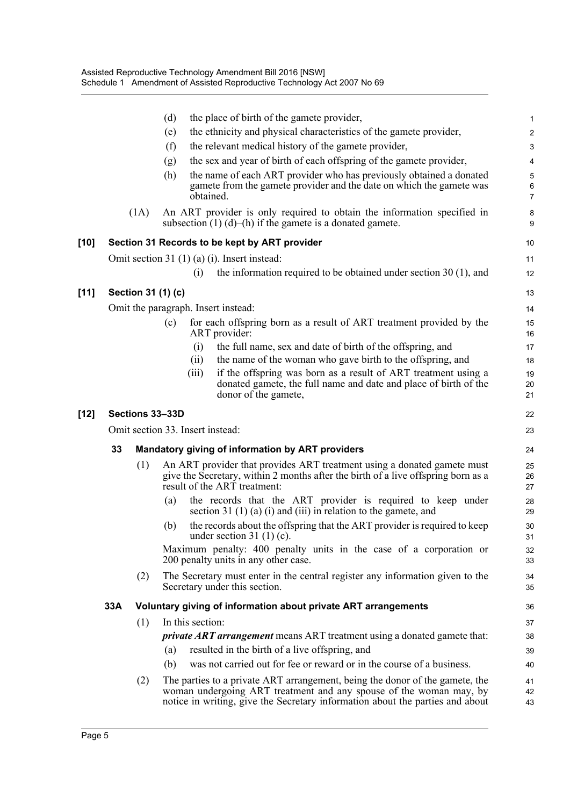|        |     |      | the place of birth of the gamete provider,<br>(d)                                                                                                                                                                                   | $\mathbf{1}$                             |
|--------|-----|------|-------------------------------------------------------------------------------------------------------------------------------------------------------------------------------------------------------------------------------------|------------------------------------------|
|        |     |      | the ethnicity and physical characteristics of the gamete provider,<br>(e)                                                                                                                                                           | $\overline{c}$                           |
|        |     |      | the relevant medical history of the gamete provider,<br>(f)                                                                                                                                                                         | 3                                        |
|        |     |      | the sex and year of birth of each offspring of the gamete provider,<br>(g)                                                                                                                                                          | 4                                        |
|        |     |      | the name of each ART provider who has previously obtained a donated<br>(h)<br>gamete from the gamete provider and the date on which the gamete was<br>obtained.                                                                     | $\mathbf 5$<br>$\,6\,$<br>$\overline{7}$ |
|        |     | (1A) | An ART provider is only required to obtain the information specified in<br>subsection $(1)$ $(d)$ – $(h)$ if the gamete is a donated gamete.                                                                                        | 8<br>9                                   |
| [10]   |     |      | Section 31 Records to be kept by ART provider                                                                                                                                                                                       | 10                                       |
|        |     |      | Omit section 31 $(1)$ $(a)$ $(i)$ . Insert instead:                                                                                                                                                                                 | 11                                       |
|        |     |      | the information required to be obtained under section $30(1)$ , and<br>(i)                                                                                                                                                          | 12                                       |
| $[11]$ |     |      | Section 31 (1) (c)                                                                                                                                                                                                                  | 13                                       |
|        |     |      | Omit the paragraph. Insert instead:                                                                                                                                                                                                 | 14                                       |
|        |     |      | for each offspring born as a result of ART treatment provided by the<br>(c)<br>ART provider:                                                                                                                                        | 15<br>16                                 |
|        |     |      | (i)<br>the full name, sex and date of birth of the offspring, and                                                                                                                                                                   | 17                                       |
|        |     |      | the name of the woman who gave birth to the offspring, and<br>(ii)                                                                                                                                                                  | 18                                       |
|        |     |      | if the offspring was born as a result of ART treatment using a<br>(iii)<br>donated gamete, the full name and date and place of birth of the<br>donor of the gamete,                                                                 | 19<br>20<br>21                           |
| [12]   |     |      | Sections 33-33D                                                                                                                                                                                                                     | 22                                       |
|        |     |      | Omit section 33. Insert instead:                                                                                                                                                                                                    | 23                                       |
|        | 33  |      | Mandatory giving of information by ART providers                                                                                                                                                                                    | 24                                       |
|        |     | (1)  | An ART provider that provides ART treatment using a donated gamete must<br>give the Secretary, within 2 months after the birth of a live offspring born as a<br>result of the ART treatment:                                        | 25<br>26<br>27                           |
|        |     |      | the records that the ART provider is required to keep under<br>(a)<br>section 31 $(1)$ (a) $(i)$ and $(iii)$ in relation to the gamete, and                                                                                         | 28<br>29                                 |
|        |     |      | the records about the offspring that the ART provider is required to keep<br>(b)<br>under section 31 $(1)(c)$ .                                                                                                                     | 30<br>31                                 |
|        |     |      | Maximum penalty: 400 penalty units in the case of a corporation or<br>200 penalty units in any other case.                                                                                                                          | 32<br>33                                 |
|        |     | (2)  | The Secretary must enter in the central register any information given to the<br>Secretary under this section.                                                                                                                      | 34<br>35                                 |
|        | 33A |      | Voluntary giving of information about private ART arrangements                                                                                                                                                                      | 36                                       |
|        |     | (1)  | In this section:                                                                                                                                                                                                                    | 37                                       |
|        |     |      | <i>private ART arrangement</i> means ART treatment using a donated gamete that:                                                                                                                                                     | 38                                       |
|        |     |      | resulted in the birth of a live offspring, and<br>(a)                                                                                                                                                                               | 39                                       |
|        |     |      | was not carried out for fee or reward or in the course of a business.<br>(b)                                                                                                                                                        | 40                                       |
|        |     | (2)  | The parties to a private ART arrangement, being the donor of the gamete, the<br>woman undergoing ART treatment and any spouse of the woman may, by<br>notice in writing, give the Secretary information about the parties and about | 41<br>42<br>43                           |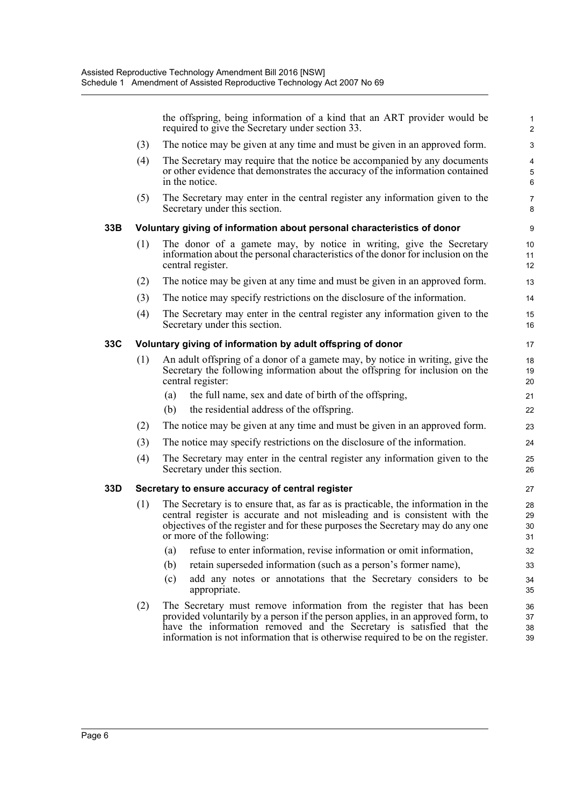the offspring, being information of a kind that an ART provider would be required to give the Secretary under section 33.

- (3) The notice may be given at any time and must be given in an approved form.
- (4) The Secretary may require that the notice be accompanied by any documents or other evidence that demonstrates the accuracy of the information contained in the notice.
- (5) The Secretary may enter in the central register any information given to the Secretary under this section.

#### **33B Voluntary giving of information about personal characteristics of donor**

- (1) The donor of a gamete may, by notice in writing, give the Secretary information about the personal characteristics of the donor for inclusion on the central register.
- (2) The notice may be given at any time and must be given in an approved form.
- (3) The notice may specify restrictions on the disclosure of the information.
- (4) The Secretary may enter in the central register any information given to the Secretary under this section.

#### **33C Voluntary giving of information by adult offspring of donor**

- (1) An adult offspring of a donor of a gamete may, by notice in writing, give the Secretary the following information about the offspring for inclusion on the central register:
	- (a) the full name, sex and date of birth of the offspring,
	- (b) the residential address of the offspring.
- (2) The notice may be given at any time and must be given in an approved form.
- (3) The notice may specify restrictions on the disclosure of the information.
- (4) The Secretary may enter in the central register any information given to the Secretary under this section.

#### **33D Secretary to ensure accuracy of central register**

- (1) The Secretary is to ensure that, as far as is practicable, the information in the central register is accurate and not misleading and is consistent with the objectives of the register and for these purposes the Secretary may do any one or more of the following:
	- (a) refuse to enter information, revise information or omit information,
	- (b) retain superseded information (such as a person's former name),
	- (c) add any notes or annotations that the Secretary considers to be appropriate.
- (2) The Secretary must remove information from the register that has been provided voluntarily by a person if the person applies, in an approved form, to have the information removed and the Secretary is satisfied that the information is not information that is otherwise required to be on the register.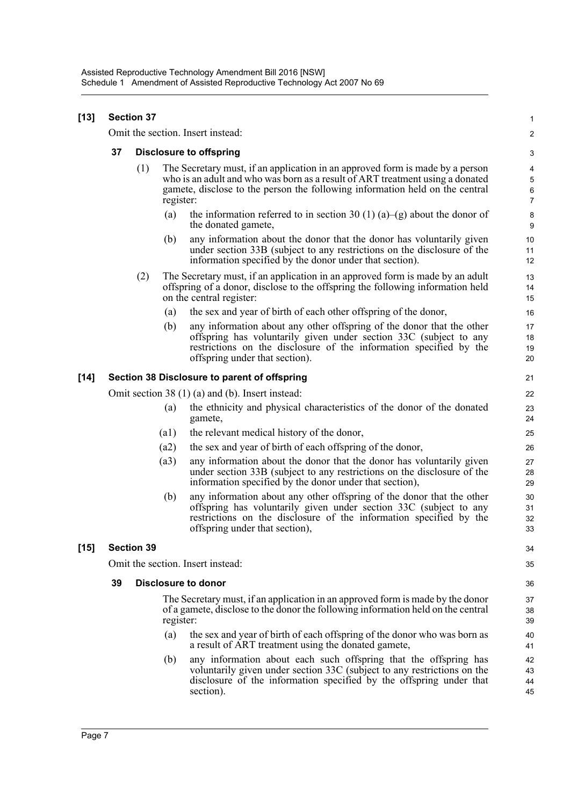#### **[13] Section 37** Omit the section. Insert instead: **37 Disclosure to offspring** (1) The Secretary must, if an application in an approved form is made by a person who is an adult and who was born as a result of ART treatment using a donated gamete, disclose to the person the following information held on the central register: (a) the information referred to in section 30 (1) (a)–(g) about the donor of the donated gamete, (b) any information about the donor that the donor has voluntarily given under section 33B (subject to any restrictions on the disclosure of the information specified by the donor under that section). (2) The Secretary must, if an application in an approved form is made by an adult offspring of a donor, disclose to the offspring the following information held on the central register: (a) the sex and year of birth of each other offspring of the donor, (b) any information about any other offspring of the donor that the other offspring has voluntarily given under section 33C (subject to any restrictions on the disclosure of the information specified by the offspring under that section). **[14] Section 38 Disclosure to parent of offspring** Omit section 38 (1) (a) and (b). Insert instead: (a) the ethnicity and physical characteristics of the donor of the donated gamete, (a1) the relevant medical history of the donor, (a2) the sex and year of birth of each offspring of the donor, (a3) any information about the donor that the donor has voluntarily given under section 33B (subject to any restrictions on the disclosure of the information specified by the donor under that section), (b) any information about any other offspring of the donor that the other offspring has voluntarily given under section 33C (subject to any restrictions on the disclosure of the information specified by the offspring under that section), **[15] Section 39** Omit the section. Insert instead: **39 Disclosure to donor** The Secretary must, if an application in an approved form is made by the donor of a gamete, disclose to the donor the following information held on the central register: (a) the sex and year of birth of each offspring of the donor who was born as a result of ART treatment using the donated gamete, (b) any information about each such offspring that the offspring has voluntarily given under section 33C (subject to any restrictions on the disclosure of the information specified by the offspring under that section). 1  $\mathfrak{p}$ 3 4 5 6 7 8 9 10 11 12 13 14 15 16 17 18 19 20 21 22 23 24 25 26 27 28 29 30 31 32 33 34 35 36 37 38 39 40 41 42 43 44 45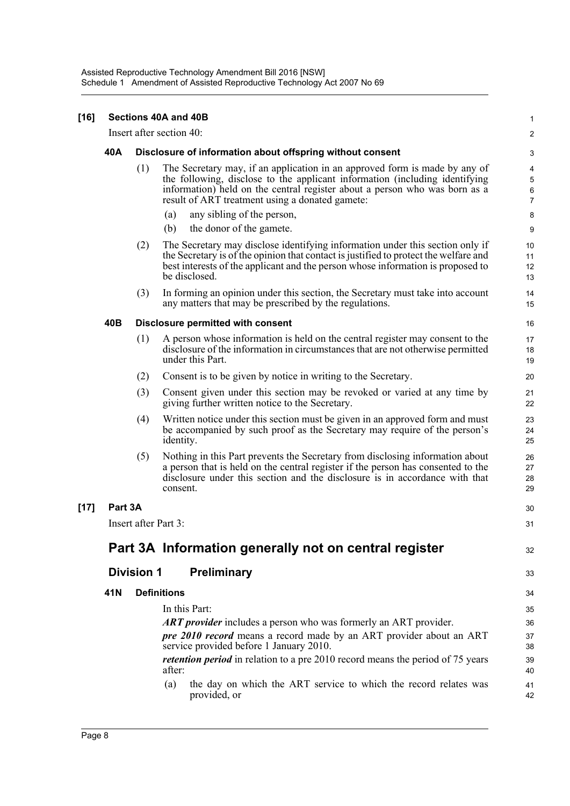| $[16]$ | Sections 40A and 40B |                      |                                                                                                                                                                                                                                                                                            |                               |  |  |
|--------|----------------------|----------------------|--------------------------------------------------------------------------------------------------------------------------------------------------------------------------------------------------------------------------------------------------------------------------------------------|-------------------------------|--|--|
|        |                      |                      | Insert after section 40:                                                                                                                                                                                                                                                                   | 2                             |  |  |
|        | 40A                  |                      | Disclosure of information about offspring without consent                                                                                                                                                                                                                                  | 3                             |  |  |
|        |                      | (1)                  | The Secretary may, if an application in an approved form is made by any of<br>the following, disclose to the applicant information (including identifying<br>information) held on the central register about a person who was born as a<br>result of ART treatment using a donated gamete: | 4<br>5<br>6<br>$\overline{7}$ |  |  |
|        |                      |                      | any sibling of the person,<br>(a)                                                                                                                                                                                                                                                          | 8                             |  |  |
|        |                      |                      | the donor of the gamete.<br>(b)                                                                                                                                                                                                                                                            | 9                             |  |  |
|        |                      | (2)                  | The Secretary may disclose identifying information under this section only if<br>the Secretary is of the opinion that contact is justified to protect the welfare and<br>best interests of the applicant and the person whose information is proposed to<br>be disclosed.                  | 10<br>11<br>12<br>13          |  |  |
|        |                      | (3)                  | In forming an opinion under this section, the Secretary must take into account<br>any matters that may be prescribed by the regulations.                                                                                                                                                   | 14<br>15                      |  |  |
|        | 40B                  |                      | <b>Disclosure permitted with consent</b>                                                                                                                                                                                                                                                   | 16                            |  |  |
|        |                      | (1)                  | A person whose information is held on the central register may consent to the<br>disclosure of the information in circumstances that are not otherwise permitted<br>under this Part.                                                                                                       | 17<br>18<br>19                |  |  |
|        |                      | (2)                  | Consent is to be given by notice in writing to the Secretary.                                                                                                                                                                                                                              | 20                            |  |  |
|        |                      | (3)                  | Consent given under this section may be revoked or varied at any time by<br>giving further written notice to the Secretary.                                                                                                                                                                | 21<br>22                      |  |  |
|        |                      | (4)                  | Written notice under this section must be given in an approved form and must<br>be accompanied by such proof as the Secretary may require of the person's<br>identity.                                                                                                                     | 23<br>24<br>25                |  |  |
|        |                      | (5)                  | Nothing in this Part prevents the Secretary from disclosing information about<br>a person that is held on the central register if the person has consented to the<br>disclosure under this section and the disclosure is in accordance with that<br>consent.                               | 26<br>27<br>28<br>29          |  |  |
| $[17]$ | Part 3A              |                      |                                                                                                                                                                                                                                                                                            | 30                            |  |  |
|        |                      | Insert after Part 3: |                                                                                                                                                                                                                                                                                            | 31                            |  |  |
|        |                      |                      | Part 3A Information generally not on central register                                                                                                                                                                                                                                      | 32                            |  |  |
|        |                      | <b>Division 1</b>    | <b>Preliminary</b>                                                                                                                                                                                                                                                                         | 33                            |  |  |
|        | 41N                  | <b>Definitions</b>   |                                                                                                                                                                                                                                                                                            |                               |  |  |
|        |                      |                      | In this Part:                                                                                                                                                                                                                                                                              | 35                            |  |  |
|        |                      |                      | <b>ART</b> provider includes a person who was formerly an ART provider.                                                                                                                                                                                                                    | 36                            |  |  |
|        |                      |                      | <i>pre 2010 record</i> means a record made by an ART provider about an ART<br>service provided before 1 January 2010.                                                                                                                                                                      | 37<br>38                      |  |  |
|        |                      |                      | <i>retention period</i> in relation to a pre 2010 record means the period of 75 years<br>after:                                                                                                                                                                                            | 39<br>40                      |  |  |
|        |                      |                      | the day on which the ART service to which the record relates was<br>(a)<br>provided, or                                                                                                                                                                                                    | 41<br>42                      |  |  |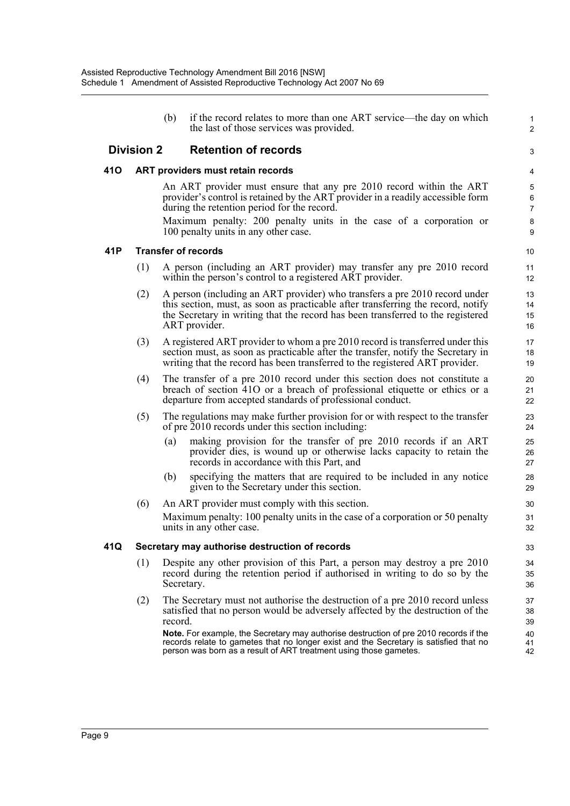(b) if the record relates to more than one ART service—the day on which the last of those services was provided.

1 2

3

#### **Division 2 Retention of records**

#### **41O ART providers must retain records**

An ART provider must ensure that any pre 2010 record within the ART provider's control is retained by the ART provider in a readily accessible form during the retention period for the record.

Maximum penalty: 200 penalty units in the case of a corporation or 100 penalty units in any other case.

#### **41P Transfer of records**

- (1) A person (including an ART provider) may transfer any pre 2010 record within the person's control to a registered ART provider.
- (2) A person (including an ART provider) who transfers a pre 2010 record under this section, must, as soon as practicable after transferring the record, notify the Secretary in writing that the record has been transferred to the registered ART provider.
- (3) A registered ART provider to whom a pre 2010 record is transferred under this section must, as soon as practicable after the transfer, notify the Secretary in writing that the record has been transferred to the registered ART provider.
- (4) The transfer of a pre 2010 record under this section does not constitute a breach of section 41O or a breach of professional etiquette or ethics or a departure from accepted standards of professional conduct.
- (5) The regulations may make further provision for or with respect to the transfer of pre 2010 records under this section including:
	- (a) making provision for the transfer of pre 2010 records if an ART provider dies, is wound up or otherwise lacks capacity to retain the records in accordance with this Part, and
	- (b) specifying the matters that are required to be included in any notice given to the Secretary under this section.
- (6) An ART provider must comply with this section. Maximum penalty: 100 penalty units in the case of a corporation or 50 penalty units in any other case.

#### **41Q Secretary may authorise destruction of records**

- (1) Despite any other provision of this Part, a person may destroy a pre 2010 record during the retention period if authorised in writing to do so by the Secretary.
- (2) The Secretary must not authorise the destruction of a pre 2010 record unless satisfied that no person would be adversely affected by the destruction of the record.

**Note.** For example, the Secretary may authorise destruction of pre 2010 records if the records relate to gametes that no longer exist and the Secretary is satisfied that no person was born as a result of ART treatment using those gametes.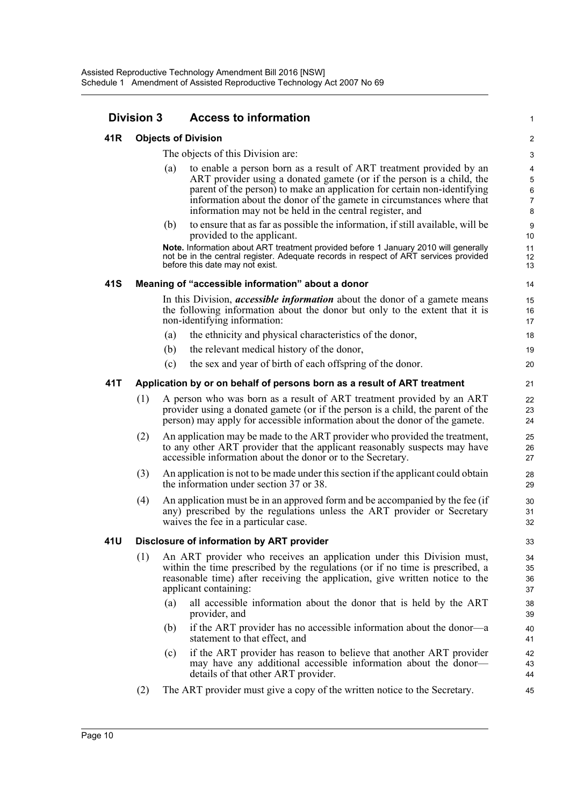### **Division 3 Access to information**

#### **41R Objects of Division**

The objects of this Division are:

(a) to enable a person born as a result of ART treatment provided by an ART provider using a donated gamete (or if the person is a child, the parent of the person) to make an application for certain non-identifying information about the donor of the gamete in circumstances where that information may not be held in the central register, and

1

(b) to ensure that as far as possible the information, if still available, will be provided to the applicant.

**Note.** Information about ART treatment provided before 1 January 2010 will generally not be in the central register. Adequate records in respect of ART services provided before this date may not exist.

#### **41S Meaning of "accessible information" about a donor**

In this Division, *accessible information* about the donor of a gamete means the following information about the donor but only to the extent that it is non-identifying information:

- (a) the ethnicity and physical characteristics of the donor,
- (b) the relevant medical history of the donor,
- (c) the sex and year of birth of each offspring of the donor.

#### **41T Application by or on behalf of persons born as a result of ART treatment**

- (1) A person who was born as a result of ART treatment provided by an ART provider using a donated gamete (or if the person is a child, the parent of the person) may apply for accessible information about the donor of the gamete.
- (2) An application may be made to the ART provider who provided the treatment, to any other ART provider that the applicant reasonably suspects may have accessible information about the donor or to the Secretary.
- (3) An application is not to be made under this section if the applicant could obtain the information under section 37 or 38.
- (4) An application must be in an approved form and be accompanied by the fee (if any) prescribed by the regulations unless the ART provider or Secretary waives the fee in a particular case.

#### **41U Disclosure of information by ART provider**

- (1) An ART provider who receives an application under this Division must, within the time prescribed by the regulations (or if no time is prescribed, a reasonable time) after receiving the application, give written notice to the applicant containing:
	- (a) all accessible information about the donor that is held by the ART provider, and
	- (b) if the ART provider has no accessible information about the donor—a statement to that effect, and
	- (c) if the ART provider has reason to believe that another ART provider may have any additional accessible information about the donor details of that other ART provider.
- (2) The ART provider must give a copy of the written notice to the Secretary.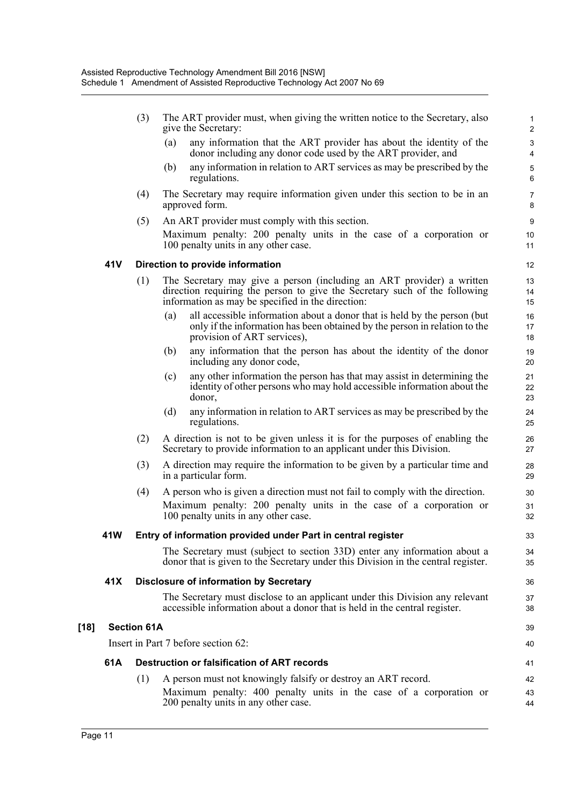|        |      | (3)                |     | The ART provider must, when giving the written notice to the Secretary, also<br>give the Secretary:                                                                                                      | $\mathbf{1}$<br>$\boldsymbol{2}$ |
|--------|------|--------------------|-----|----------------------------------------------------------------------------------------------------------------------------------------------------------------------------------------------------------|----------------------------------|
|        |      |                    | (a) | any information that the ART provider has about the identity of the<br>donor including any donor code used by the ART provider, and                                                                      | $\mathsf 3$<br>4                 |
|        |      |                    | (b) | any information in relation to ART services as may be prescribed by the<br>regulations.                                                                                                                  | 5<br>6                           |
|        |      | (4)                |     | The Secretary may require information given under this section to be in an<br>approved form.                                                                                                             | $\overline{7}$<br>8              |
|        |      | (5)                |     | An ART provider must comply with this section.                                                                                                                                                           | 9                                |
|        |      |                    |     | Maximum penalty: 200 penalty units in the case of a corporation or<br>100 penalty units in any other case.                                                                                               | 10<br>11                         |
|        | 41V  |                    |     | Direction to provide information                                                                                                                                                                         | 12                               |
|        |      | (1)                |     | The Secretary may give a person (including an ART provider) a written<br>direction requiring the person to give the Secretary such of the following<br>information as may be specified in the direction: | 13<br>14<br>15                   |
|        |      |                    | (a) | all accessible information about a donor that is held by the person (but)<br>only if the information has been obtained by the person in relation to the<br>provision of ART services),                   | 16<br>17<br>18                   |
|        |      |                    | (b) | any information that the person has about the identity of the donor<br>including any donor code,                                                                                                         | 19<br>20                         |
|        |      |                    | (c) | any other information the person has that may assist in determining the<br>identity of other persons who may hold accessible information about the<br>donor,                                             | 21<br>22<br>23                   |
|        |      |                    | (d) | any information in relation to ART services as may be prescribed by the<br>regulations.                                                                                                                  | 24<br>25                         |
|        |      | (2)                |     | A direction is not to be given unless it is for the purposes of enabling the<br>Secretary to provide information to an applicant under this Division.                                                    | 26<br>27                         |
|        |      | (3)                |     | A direction may require the information to be given by a particular time and<br>in a particular form.                                                                                                    | 28<br>29                         |
|        |      | (4)                |     | A person who is given a direction must not fail to comply with the direction.                                                                                                                            | 30                               |
|        |      |                    |     | Maximum penalty: 200 penalty units in the case of a corporation or<br>100 penalty units in any other case.                                                                                               | 31<br>32                         |
|        | 41 W |                    |     | Entry of information provided under Part in central register                                                                                                                                             | 33                               |
|        |      |                    |     | The Secretary must (subject to section 33D) enter any information about a<br>donor that is given to the Secretary under this Division in the central register.                                           | 34<br>35                         |
|        | 41X  |                    |     | <b>Disclosure of information by Secretary</b>                                                                                                                                                            | 36                               |
|        |      |                    |     | The Secretary must disclose to an applicant under this Division any relevant<br>accessible information about a donor that is held in the central register.                                               | 37<br>38                         |
| $[18]$ |      | <b>Section 61A</b> |     |                                                                                                                                                                                                          | 39                               |
|        |      |                    |     | Insert in Part 7 before section 62:                                                                                                                                                                      | 40                               |
|        | 61A  |                    |     | Destruction or falsification of ART records                                                                                                                                                              | 41                               |
|        |      | (1)                |     | A person must not knowingly falsify or destroy an ART record.                                                                                                                                            | 42                               |
|        |      |                    |     | Maximum penalty: 400 penalty units in the case of a corporation or<br>200 penalty units in any other case.                                                                                               | 43<br>44                         |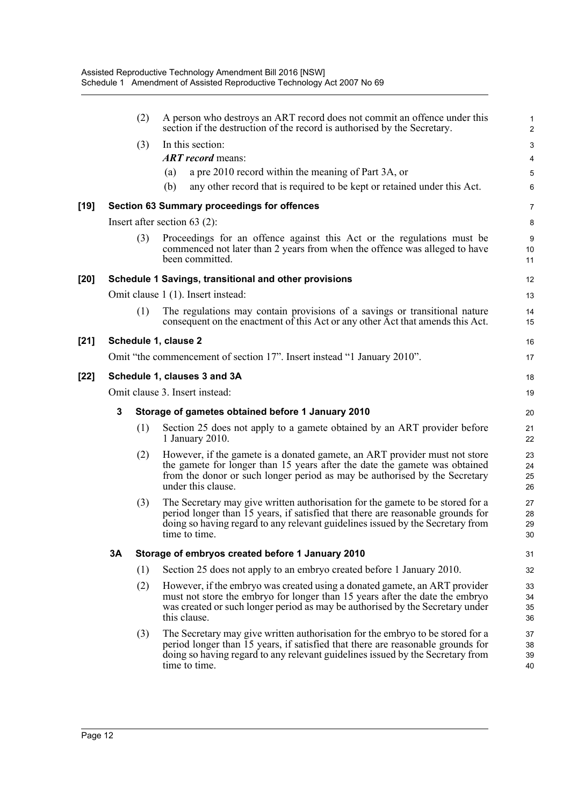|        |             | (2) | A person who destroys an ART record does not commit an offence under this<br>section if the destruction of the record is authorised by the Secretary.                                                                                                                | $\mathbf{1}$<br>$\overline{c}$ |
|--------|-------------|-----|----------------------------------------------------------------------------------------------------------------------------------------------------------------------------------------------------------------------------------------------------------------------|--------------------------------|
|        |             | (3) | In this section:                                                                                                                                                                                                                                                     | $\ensuremath{\mathsf{3}}$      |
|        |             |     | <b>ART</b> record means:                                                                                                                                                                                                                                             | $\overline{\mathbf{4}}$        |
|        |             |     | a pre 2010 record within the meaning of Part 3A, or<br>(a)                                                                                                                                                                                                           | $\overline{5}$                 |
|        |             |     | any other record that is required to be kept or retained under this Act.<br>(b)                                                                                                                                                                                      | $\,6\,$                        |
| [19]   |             |     | Section 63 Summary proceedings for offences                                                                                                                                                                                                                          | 7                              |
|        |             |     | Insert after section $63$ (2):                                                                                                                                                                                                                                       | 8                              |
|        |             | (3) | Proceedings for an offence against this Act or the regulations must be<br>commenced not later than 2 years from when the offence was alleged to have<br>been committed.                                                                                              | $\boldsymbol{9}$<br>10<br>11   |
| [20]   |             |     | Schedule 1 Savings, transitional and other provisions                                                                                                                                                                                                                | 12                             |
|        |             |     | Omit clause 1 (1). Insert instead:                                                                                                                                                                                                                                   | 13                             |
|        |             | (1) | The regulations may contain provisions of a savings or transitional nature<br>consequent on the enactment of this Act or any other Act that amends this Act.                                                                                                         | 14<br>15                       |
| $[21]$ |             |     | Schedule 1, clause 2                                                                                                                                                                                                                                                 | 16                             |
|        |             |     | Omit "the commencement of section 17". Insert instead "1 January 2010".                                                                                                                                                                                              | 17                             |
| [22]   |             |     | Schedule 1, clauses 3 and 3A                                                                                                                                                                                                                                         | 18                             |
|        |             |     | Omit clause 3. Insert instead:                                                                                                                                                                                                                                       | 19                             |
|        | $\mathbf 3$ |     | Storage of gametes obtained before 1 January 2010                                                                                                                                                                                                                    | 20                             |
|        |             | (1) | Section 25 does not apply to a gamete obtained by an ART provider before<br>1 January 2010.                                                                                                                                                                          | 21<br>22                       |
|        |             | (2) | However, if the gamete is a donated gamete, an ART provider must not store<br>the gamete for longer than 15 years after the date the gamete was obtained<br>from the donor or such longer period as may be authorised by the Secretary<br>under this clause.         | 23<br>24<br>25<br>26           |
|        |             | (3) | The Secretary may give written authorisation for the gamete to be stored for a<br>period longer than 15 years, if satisfied that there are reasonable grounds for<br>doing so having regard to any relevant guidelines issued by the Secretary from<br>time to time. | 27<br>28<br>29<br>$30\,$       |
|        | 3A          |     | Storage of embryos created before 1 January 2010                                                                                                                                                                                                                     | 31                             |
|        |             | (1) | Section 25 does not apply to an embryo created before 1 January 2010.                                                                                                                                                                                                | 32                             |
|        |             | (2) | However, if the embryo was created using a donated gamete, an ART provider<br>must not store the embryo for longer than 15 years after the date the embryo<br>was created or such longer period as may be authorised by the Secretary under<br>this clause.          | 33<br>34<br>35<br>36           |
|        |             | (3) | The Secretary may give written authorisation for the embryo to be stored for a<br>period longer than 15 years, if satisfied that there are reasonable grounds for<br>doing so having regard to any relevant guidelines issued by the Secretary from<br>time to time. | 37<br>38<br>39<br>40           |
|        |             |     |                                                                                                                                                                                                                                                                      |                                |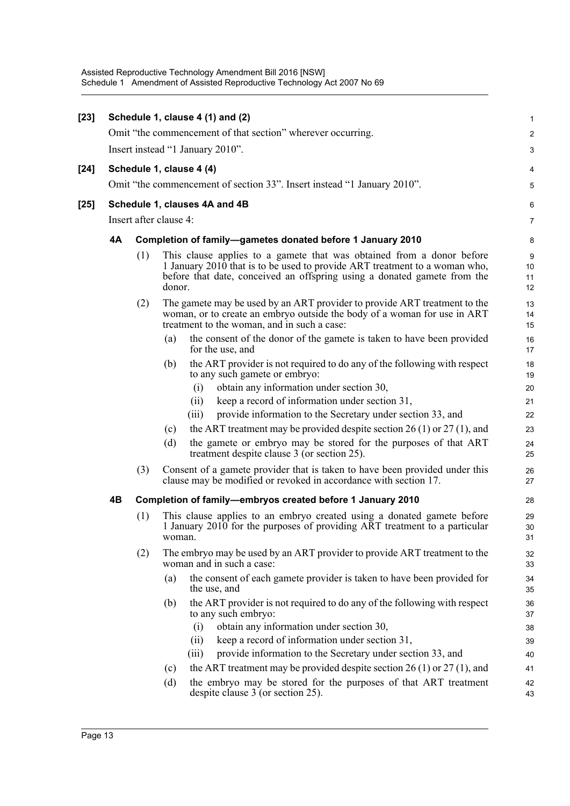| $[23]$ |    |     | Schedule 1, clause 4 (1) and (2)                                                                                                                                                                                                | $\mathbf{1}$   |
|--------|----|-----|---------------------------------------------------------------------------------------------------------------------------------------------------------------------------------------------------------------------------------|----------------|
|        |    |     | Omit "the commencement of that section" wherever occurring.                                                                                                                                                                     | $\overline{2}$ |
|        |    |     | Insert instead "1 January 2010".                                                                                                                                                                                                | 3              |
| $[24]$ |    |     | Schedule 1, clause 4 (4)                                                                                                                                                                                                        | 4              |
|        |    |     | Omit "the commencement of section 33". Insert instead "1 January 2010".                                                                                                                                                         | $\overline{5}$ |
| $[25]$ |    |     | Schedule 1, clauses 4A and 4B                                                                                                                                                                                                   | 6              |
|        |    |     | Insert after clause 4:                                                                                                                                                                                                          | $\overline{7}$ |
|        | 4A |     | Completion of family-gametes donated before 1 January 2010                                                                                                                                                                      | 8              |
|        |    | (1) | This clause applies to a gamete that was obtained from a donor before<br>1 January 2010 that is to be used to provide ART treatment to a woman who,<br>before that date, conceived an offspring using a donated gamete from the | 9<br>10<br>11  |
|        |    |     | donor.                                                                                                                                                                                                                          | 12             |
|        |    | (2) | The gamete may be used by an ART provider to provide ART treatment to the<br>woman, or to create an embryo outside the body of a woman for use in ART<br>treatment to the woman, and in such a case:                            | 13<br>14<br>15 |
|        |    |     | the consent of the donor of the gamete is taken to have been provided<br>(a)<br>for the use, and                                                                                                                                | 16<br>17       |
|        |    |     | the ART provider is not required to do any of the following with respect<br>(b)<br>to any such gamete or embryo:                                                                                                                | 18<br>19       |
|        |    |     | obtain any information under section 30,<br>(i)                                                                                                                                                                                 | 20             |
|        |    |     | keep a record of information under section 31,<br>(ii)                                                                                                                                                                          | 21             |
|        |    |     | provide information to the Secretary under section 33, and<br>(iii)                                                                                                                                                             | 22             |
|        |    |     | the ART treatment may be provided despite section 26 (1) or 27 (1), and<br>(c)                                                                                                                                                  | 23             |
|        |    |     | (d)<br>the gamete or embryo may be stored for the purposes of that ART<br>treatment despite clause 3 (or section 25).                                                                                                           | 24<br>25       |
|        |    | (3) | Consent of a gamete provider that is taken to have been provided under this<br>clause may be modified or revoked in accordance with section 17.                                                                                 | 26<br>27       |
|        | 4B |     | Completion of family-embryos created before 1 January 2010                                                                                                                                                                      | 28             |
|        |    | (1) | This clause applies to an embryo created using a donated gamete before<br>1 January $2010$ for the purposes of providing ART treatment to a particular<br>woman.                                                                | 29<br>30<br>31 |
|        |    | (2) | The embryo may be used by an ART provider to provide ART treatment to the<br>woman and in such a case:                                                                                                                          | 32<br>33       |
|        |    |     | the consent of each gamete provider is taken to have been provided for<br>(a)<br>the use, and                                                                                                                                   | 34<br>35       |
|        |    |     | the ART provider is not required to do any of the following with respect<br>(b)<br>to any such embryo:                                                                                                                          | 36<br>37       |
|        |    |     | obtain any information under section 30,<br>(i)                                                                                                                                                                                 | 38             |
|        |    |     | keep a record of information under section 31,<br>(i)                                                                                                                                                                           | 39             |
|        |    |     | provide information to the Secretary under section 33, and<br>(iii)                                                                                                                                                             | 40             |
|        |    |     | the ART treatment may be provided despite section 26 (1) or 27 (1), and<br>(c)                                                                                                                                                  | 41             |
|        |    |     | the embryo may be stored for the purposes of that ART treatment<br>(d)<br>despite clause 3 (or section 25).                                                                                                                     | 42<br>43       |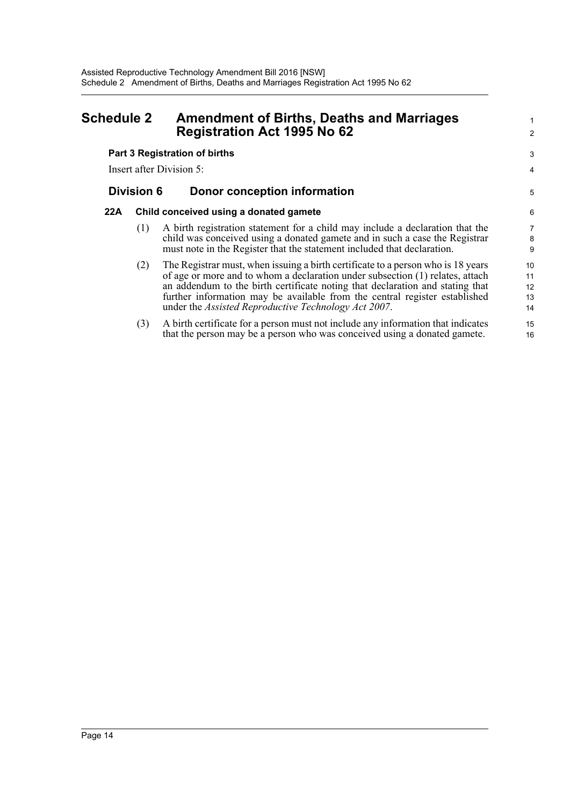### <span id="page-19-0"></span>**Schedule 2 Amendment of Births, Deaths and Marriages Registration Act 1995 No 62**

# **Part 3 Registration of births**

Insert after Division 5:

### **Division 6 Donor conception information**

#### **22A Child conceived using a donated gamete**

- (1) A birth registration statement for a child may include a declaration that the child was conceived using a donated gamete and in such a case the Registrar must note in the Register that the statement included that declaration.
- (2) The Registrar must, when issuing a birth certificate to a person who is 18 years of age or more and to whom a declaration under subsection (1) relates, attach an addendum to the birth certificate noting that declaration and stating that further information may be available from the central register established under the *Assisted Reproductive Technology Act 2007*. 10 11 12 13 14

1  $\overline{2}$ 

3 4

5

15 16

(3) A birth certificate for a person must not include any information that indicates that the person may be a person who was conceived using a donated gamete.